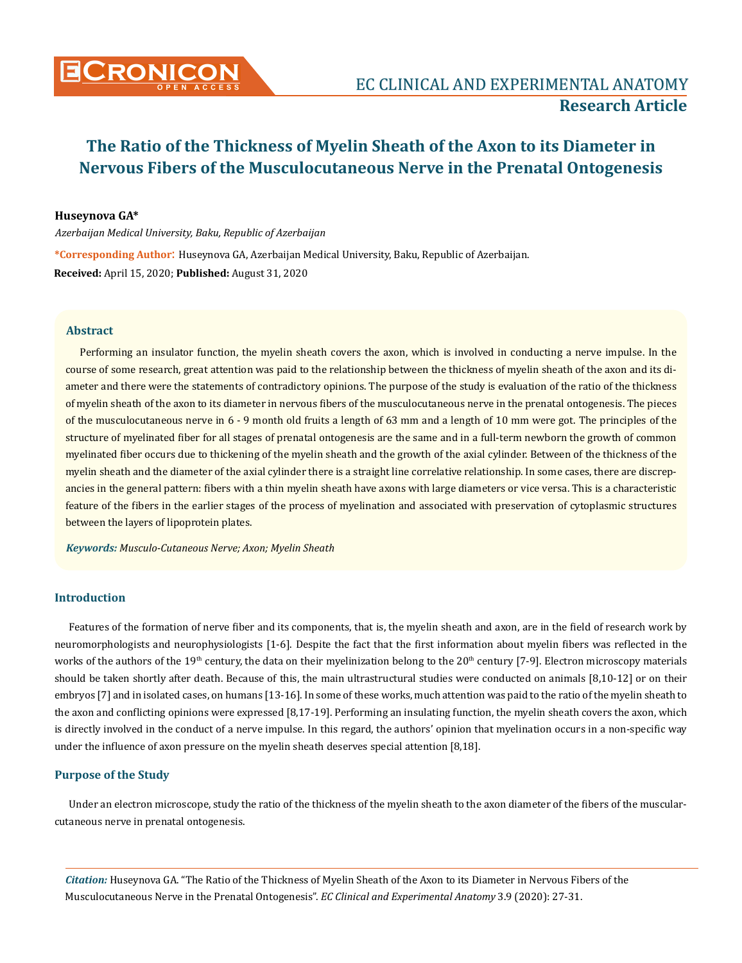

## **Huseynova GA\***

*Azerbaijan Medical University, Baku, Republic of Azerbaijan*

**\*Corresponding Author**: Huseynova GA, Azerbaijan Medical University, Baku, Republic of Azerbaijan. **Received:** April 15, 2020; **Published:** August 31, 2020

#### **Abstract**

Performing an insulator function, the myelin sheath covers the axon, which is involved in conducting a nerve impulse. In the course of some research, great attention was paid to the relationship between the thickness of myelin sheath of the axon and its diameter and there were the statements of contradictory opinions. The purpose of the study is evaluation of the ratio of the thickness of myelin sheath of the axon to its diameter in nervous fibers of the musculocutaneous nerve in the prenatal ontogenesis. The pieces of the musculocutaneous nerve in 6 - 9 month old fruits a length of 63 mm and a length of 10 mm were got. The principles of the structure of myelinated fiber for all stages of prenatal ontogenesis are the same and in a full-term newborn the growth of common myelinated fiber occurs due to thickening of the myelin sheath and the growth of the axial cylinder. Between of the thickness of the myelin sheath and the diameter of the axial cylinder there is a straight line correlative relationship. In some cases, there are discrepancies in the general pattern: fibers with a thin myelin sheath have axons with large diameters or vice versa. This is a characteristic feature of the fibers in the earlier stages of the process of myelination and associated with preservation of cytoplasmic structures between the layers of lipoprotein plates.

*Keywords: Musculo-Cutaneous Nerve; Axon; Myelin Sheath*

## **Introduction**

Features of the formation of nerve fiber and its components, that is, the myelin sheath and axon, are in the field of research work by neuromorphologists and neurophysiologists [1-6]. Despite the fact that the first information about myelin fibers was reflected in the works of the authors of the 19<sup>th</sup> century, the data on their myelinization belong to the 20<sup>th</sup> century [7-9]. Electron microscopy materials should be taken shortly after death. Because of this, the main ultrastructural studies were conducted on animals [8,10-12] or on their embryos [7] and in isolated cases, on humans [13-16]. In some of these works, much attention was paid to the ratio of the myelin sheath to the axon and conflicting opinions were expressed [8,17-19]. Performing an insulating function, the myelin sheath covers the axon, which is directly involved in the conduct of a nerve impulse. In this regard, the authors' opinion that myelination occurs in a non-specific way under the influence of axon pressure on the myelin sheath deserves special attention [8,18].

## **Purpose of the Study**

Under an electron microscope, study the ratio of the thickness of the myelin sheath to the axon diameter of the fibers of the muscularcutaneous nerve in prenatal ontogenesis.

*Citation:* Huseynova GA. "The Ratio of the Thickness of Myelin Sheath of the Axon to its Diameter in Nervous Fibers of the Musculocutaneous Nerve in the Prenatal Ontogenesis". *EC Clinical and Experimental Anatomy* 3.9 (2020): 27-31.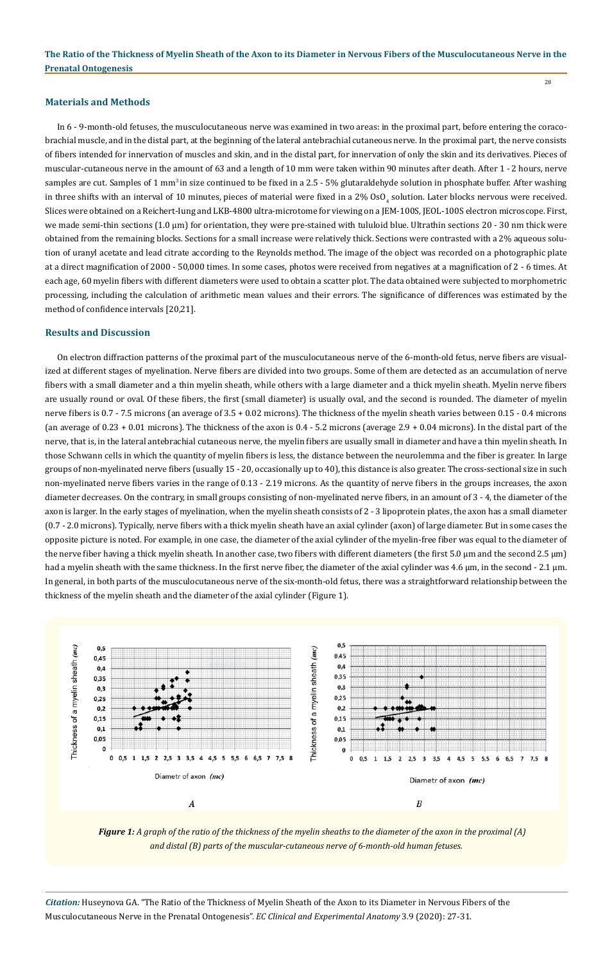28

#### **Materials and Methods**

In 6 - 9-month-old fetuses, the musculocutaneous nerve was examined in two areas: in the proximal part, before entering the coracobrachial muscle, and in the distal part, at the beginning of the lateral antebrachial cutaneous nerve. In the proximal part, the nerve consists of fibers intended for innervation of muscles and skin, and in the distal part, for innervation of only the skin and its derivatives. Pieces of muscular-cutaneous nerve in the amount of 63 and a length of 10 mm were taken within 90 minutes after death. After 1 - 2 hours, nerve samples are cut. Samples of 1 mm<sup>3</sup> in size continued to be fixed in a 2.5 - 5% glutaraldehyde solution in phosphate buffer. After washing in three shifts with an interval of 10 minutes, pieces of material were fixed in a 2%  $0s0^{}_4$  solution. Later blocks nervous were received. Slices were obtained on a Reichert-Iung and LKB-4800 ultra-microtome for viewing on a JEM-100S, JEOL-100S electron microscope. First, we made semi-thin sections (1.0 μm) for orientation, they were pre-stained with tululoid blue. Ultrathin sections 20 - 30 nm thick were obtained from the remaining blocks. Sections for a small increase were relatively thick. Sections were contrasted with a 2% aqueous solution of uranyl acetate and lead citrate according to the Reynolds method. The image of the object was recorded on a photographic plate at a direct magnification of 2000 - 50,000 times. In some cases, photos were received from negatives at a magnification of 2 - 6 times. At each age, 60 myelin fibers with different diameters were used to obtain a scatter plot. The data obtained were subjected to morphometric processing, including the calculation of arithmetic mean values and their errors. The significance of differences was estimated by the method of confidence intervals [20,21].

#### **Results and Discussion**

On electron diffraction patterns of the proximal part of the musculocutaneous nerve of the 6-month-old fetus, nerve fibers are visualized at different stages of myelination. Nerve fibers are divided into two groups. Some of them are detected as an accumulation of nerve fibers with a small diameter and a thin myelin sheath, while others with a large diameter and a thick myelin sheath. Myelin nerve fibers are usually round or oval. Of these fibers, the first (small diameter) is usually oval, and the second is rounded. The diameter of myelin nerve fibers is 0.7 - 7.5 microns (an average of 3.5 + 0.02 microns). The thickness of the myelin sheath varies between 0.15 - 0.4 microns (an average of 0.23 + 0.01 microns). The thickness of the axon is 0.4 - 5.2 microns (average 2.9 + 0.04 microns). In the distal part of the nerve, that is, in the lateral antebrachial cutaneous nerve, the myelin fibers are usually small in diameter and have a thin myelin sheath. In those Schwann cells in which the quantity of myelin fibers is less, the distance between the neurolemma and the fiber is greater. In large groups of non-myelinated nerve fibers (usually 15 - 20, occasionally up to 40), this distance is also greater. The cross-sectional size in such non-myelinated nerve fibers varies in the range of 0.13 - 2.19 microns. As the quantity of nerve fibers in the groups increases, the axon diameter decreases. On the contrary, in small groups consisting of non-myelinated nerve fibers, in an amount of 3 - 4, the diameter of the axon is larger. In the early stages of myelination, when the myelin sheath consists of 2 - 3 lipoprotein plates, the axon has a small diameter (0.7 - 2.0 microns). Typically, nerve fibers with a thick myelin sheath have an axial cylinder (axon) of large diameter. But in some cases the opposite picture is noted. For example, in one case, the diameter of the axial cylinder of the myelin-free fiber was equal to the diameter of the nerve fiber having a thick myelin sheath. In another case, two fibers with different diameters (the first 5.0 μm and the second 2.5 μm) had a myelin sheath with the same thickness. In the first nerve fiber, the diameter of the axial cylinder was 4.6 μm, in the second - 2.1 μm. In general, in both parts of the musculocutaneous nerve of the six-month-old fetus, there was a straightforward relationship between the thickness of the myelin sheath and the diameter of the axial cylinder (Figure 1).



*Figure 1: A graph of the ratio of the thickness of the myelin sheaths to the diameter of the axon in the proximal (A) and distal (B) parts of the muscular-cutaneous nerve of 6-month-old human fetuses.*

*Citation:* Huseynova GA. "The Ratio of the Thickness of Myelin Sheath of the Axon to its Diameter in Nervous Fibers of the Musculocutaneous Nerve in the Prenatal Ontogenesis". *EC Clinical and Experimental Anatomy* 3.9 (2020): 27-31.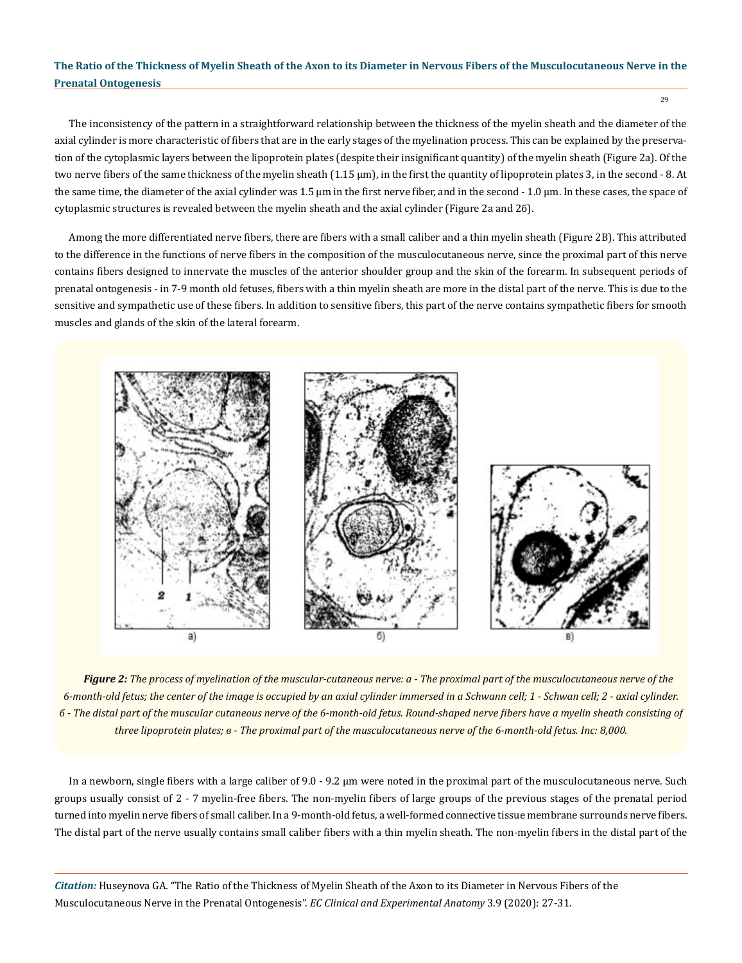The inconsistency of the pattern in a straightforward relationship between the thickness of the myelin sheath and the diameter of the axial cylinder is more characteristic of fibers that are in the early stages of the myelination process. This can be explained by the preservation of the cytoplasmic layers between the lipoprotein plates (despite their insignificant quantity) of the myelin sheath (Figure 2a). Of the two nerve fibers of the same thickness of the myelin sheath (1.15 μm), in the first the quantity of lipoprotein plates 3, in the second - 8. At the same time, the diameter of the axial cylinder was 1.5 μm in the first nerve fiber, and in the second - 1.0 μm. In these cases, the space of cytoplasmic structures is revealed between the myelin sheath and the axial cylinder (Figure 2a and 2б).

Among the more differentiated nerve fibers, there are fibers with a small caliber and a thin myelin sheath (Figure 2B). This attributed to the difference in the functions of nerve fibers in the composition of the musculocutaneous nerve, since the proximal part of this nerve contains fibers designed to innervate the muscles of the anterior shoulder group and the skin of the forearm. In subsequent periods of prenatal ontogenesis - in 7-9 month old fetuses, fibers with a thin myelin sheath are more in the distal part of the nerve. This is due to the sensitive and sympathetic use of these fibers. In addition to sensitive fibers, this part of the nerve contains sympathetic fibers for smooth muscles and glands of the skin of the lateral forearm.



*Figure 2: The process of myelination of the muscular-cutaneous nerve: а - The proximal part of the musculocutaneous nerve of the 6-month-old fetus; the center of the image is occupied by an axial cylinder immersed in a Schwann cell; 1 - Schwan cell; 2 - axial cylinder. б - The distal part of the muscular cutaneous nerve of the 6-month-old fetus. Round-shaped nerve fibers have a myelin sheath consisting of three lipoprotein plates; в - The proximal part of the musculocutaneous nerve of the 6-month-old fetus. Inc: 8,000.* 

In a newborn, single fibers with a large caliber of 9.0 - 9.2 μm were noted in the proximal part of the musculocutaneous nerve. Such groups usually consist of 2 - 7 myelin-free fibers. The non-myelin fibers of large groups of the previous stages of the prenatal period turned into myelin nerve fibers of small caliber. In a 9-month-old fetus, a well-formed connective tissue membrane surrounds nerve fibers. The distal part of the nerve usually contains small caliber fibers with a thin myelin sheath. The non-myelin fibers in the distal part of the

*Citation:* Huseynova GA. "The Ratio of the Thickness of Myelin Sheath of the Axon to its Diameter in Nervous Fibers of the Musculocutaneous Nerve in the Prenatal Ontogenesis". *EC Clinical and Experimental Anatomy* 3.9 (2020): 27-31.

29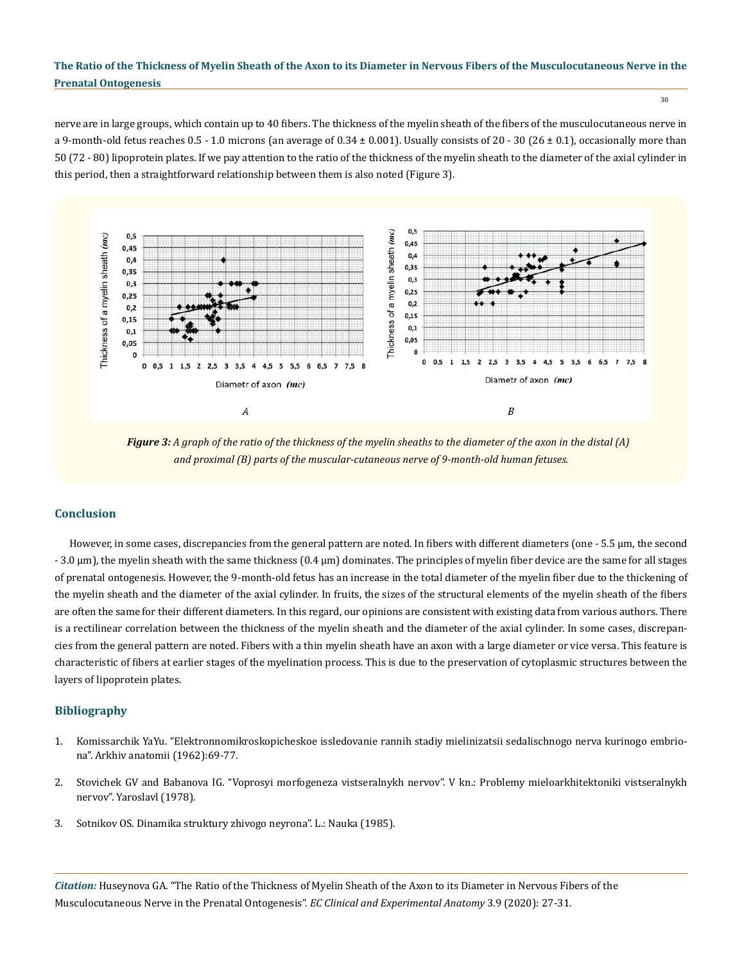30

nerve are in large groups, which contain up to 40 fibers. The thickness of the myelin sheath of the fibers of the musculocutaneous nerve in a 9-month-old fetus reaches  $0.5 - 1.0$  microns (an average of  $0.34 \pm 0.001$ ). Usually consists of  $20 - 30$  ( $26 \pm 0.1$ ), occasionally more than 50 (72 - 80) lipoprotein plates. If we pay attention to the ratio of the thickness of the myelin sheath to the diameter of the axial cylinder in this period, then a straightforward relationship between them is also noted (Figure 3).



*Figure 3: A graph of the ratio of the thickness of the myelin sheaths to the diameter of the axon in the distal (A) and proximal (B) parts of the muscular-cutaneous nerve of 9-month-old human fetuses.*

## **Conclusion**

However, in some cases, discrepancies from the general pattern are noted. In fibers with different diameters (one - 5.5 μm, the second - 3.0 μm), the myelin sheath with the same thickness (0.4 μm) dominates. The principles of myelin fiber device are the same for all stages of prenatal ontogenesis. However, the 9-month-old fetus has an increase in the total diameter of the myelin fiber due to the thickening of the myelin sheath and the diameter of the axial cylinder. In fruits, the sizes of the structural elements of the myelin sheath of the fibers are often the same for their different diameters. In this regard, our opinions are consistent with existing data from various authors. There is a rectilinear correlation between the thickness of the myelin sheath and the diameter of the axial cylinder. In some cases, discrepancies from the general pattern are noted. Fibers with a thin myelin sheath have an axon with a large diameter or vice versa. This feature is characteristic of fibers at earlier stages of the myelination process. This is due to the preservation of cytoplasmic structures between the layers of lipoprotein plates.

## **Bibliography**

- 1. Komissarchik YaYu. "Elektronnomikroskopicheskoe issledovanie rannih stadiy mielinizatsii sedalischnogo nerva kurinogo embriona". Arkhiv anatomii (1962):69-77.
- 2. Stovichek GV and Babanova IG. "Voprosyi morfogeneza vistseralnykh nervov". V kn.: Problemy mieloarkhitektoniki vistseralnykh nervov". Yaroslavl (1978).
- 3. Sotnikov OS. Dinamika struktury zhivogo neyrona". L.: Nauka (1985).

*Citation:* Huseynova GA. "The Ratio of the Thickness of Myelin Sheath of the Axon to its Diameter in Nervous Fibers of the Musculocutaneous Nerve in the Prenatal Ontogenesis". *EC Clinical and Experimental Anatomy* 3.9 (2020): 27-31.